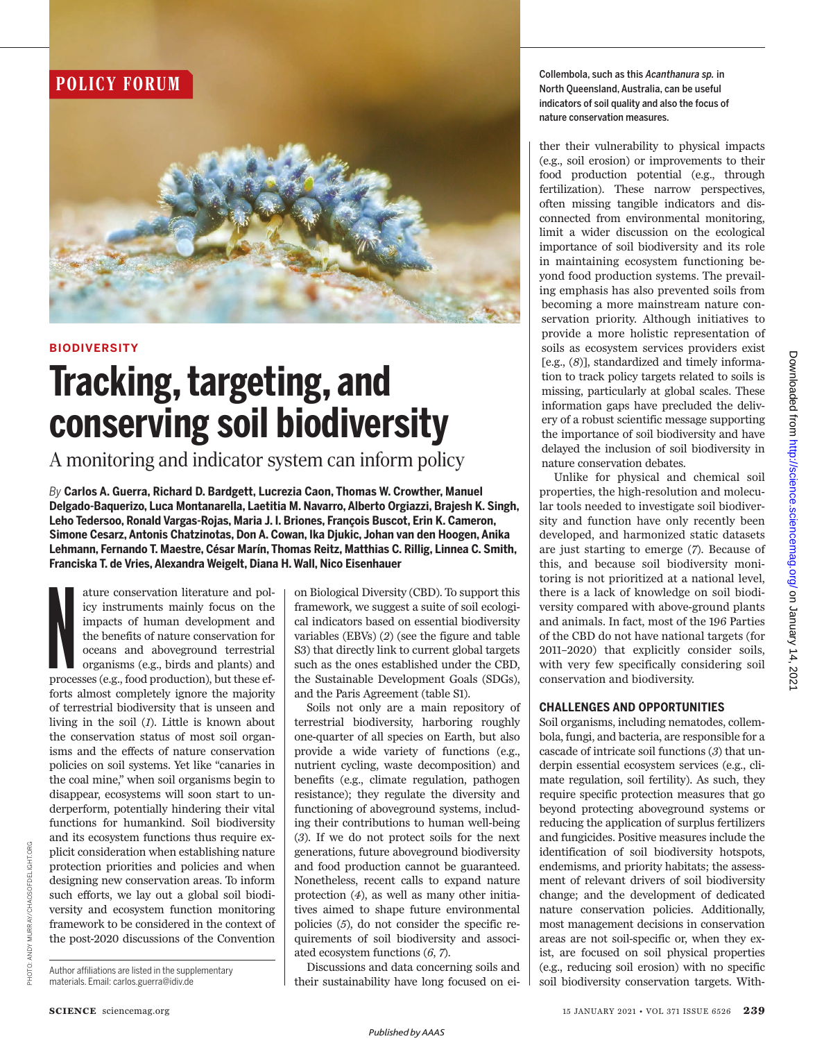# **POLICY FORUM**



### **BIODIVERSITY**

# **Tracking, targeting, and conserving soil biodiversity**

A monitoring and indicator system can inform policy

*By* **Carlos A. Guerra, Richard D. Bardgett, Lucrezia Caon, Thomas W. Crowther, Manuel Delgado-Baquerizo, Luca Montanarella, Laetitia M. Navarro, Alberto Orgiazzi, Brajesh K. Singh, Leho Tedersoo, Ronald Vargas-Rojas, Maria J. I. Briones, François Buscot, Erin K. Cameron, Simone Cesarz, Antonis Chatzinotas, Don A. Cowan, Ika Djukic, Johan van den Hoogen, Anika Lehmann, Fernando T. Maestre, César Marín, Thomas Reitz, Matthias C. Rillig, Linnea C. Smith, Franciska T. de Vries, Alexandra Weigelt, Diana H. Wall, Nico Eisenhauer**

ature conservation literature and policy instruments mainly focus on the impacts of human development and the benefits of nature conservation for oceans and aboveground terrestrial organisms (e.g., birds and plants) and pr ature conservation literature and policy instruments mainly focus on the impacts of human development and the benefits of nature conservation for oceans and aboveground terrestrial organisms (e.g., birds and plants) and forts almost completely ignore the majority of terrestrial biodiversity that is unseen and living in the soil (*1*). Little is known about the conservation status of most soil organisms and the effects of nature conservation policies on soil systems. Yet like "canaries in the coal mine," when soil organisms begin to disappear, ecosystems will soon start to underperform, potentially hindering their vital functions for humankind. Soil biodiversity and its ecosystem functions thus require explicit consideration when establishing nature protection priorities and policies and when designing new conservation areas. To inform such efforts, we lay out a global soil biodiversity and ecosystem function monitoring framework to be considered in the context of the post-2020 discussions of the Convention

Author affiliations are listed in the supplementary materials. Email: carlos.guerra@idiv.de

on Biological Diversity (CBD). To support this framework, we suggest a suite of soil ecological indicators based on essential biodiversity variables (EBVs) (*2*) (see the figure and table S3) that directly link to current global targets such as the ones established under the CBD, the Sustainable Development Goals (SDGs), and the Paris Agreement (table S1).

Soils not only are a main repository of terrestrial biodiversity, harboring roughly one-quarter of all species on Earth, but also provide a wide variety of functions (e.g., nutrient cycling, waste decomposition) and benefits (e.g., climate regulation, pathogen resistance); they regulate the diversity and functioning of aboveground systems, including their contributions to human well-being (*3*). If we do not protect soils for the next generations, future aboveground biodiversity and food production cannot be guaranteed. Nonetheless, recent calls to expand nature protection (*4*), as well as many other initiatives aimed to shape future environmental policies (*5*), do not consider the specific requirements of soil biodiversity and associated ecosystem functions (*6*, *7*).

Discussions and data concerning soils and their sustainability have long focused on ei-

Collembola, such as this *Acanthanura sp.* in North Queensland, Australia, can be useful indicators of soil quality and also the focus of nature conservation measures.

ther their vulnerability to physical impacts (e.g., soil erosion) or improvements to their food production potential (e.g., through fertilization). These narrow perspectives, often missing tangible indicators and disconnected from environmental monitoring, limit a wider discussion on the ecological importance of soil biodiversity and its role in maintaining ecosystem functioning beyond food production systems. The prevailing emphasis has also prevented soils from becoming a more mainstream nature conservation priority. Although initiatives to provide a more holistic representation of soils as ecosystem services providers exist [e.g., (*8*)], standardized and timely information to track policy targets related to soils is missing, particularly at global scales. These information gaps have precluded the delivery of a robust scientific message supporting the importance of soil biodiversity and have delayed the inclusion of soil biodiversity in nature conservation debates.

Unlike for physical and chemical soil properties, the high-resolution and molecular tools needed to investigate soil biodiversity and function have only recently been developed, and harmonized static datasets are just starting to emerge (*7*). Because of this, and because soil biodiversity monitoring is not prioritized at a national level, there is a lack of knowledge on soil biodiversity compared with above-ground plants and animals. In fact, most of the 196 Parties of the CBD do not have national targets (for 2011–2020) that explicitly consider soils, with very few specifically considering soil conservation and biodiversity.

### **CHALLENGES AND OPPORTUNITIES**

Soil organisms, including nematodes, collembola, fungi, and bacteria, are responsible for a cascade of intricate soil functions (*3*) that underpin essential ecosystem services (e.g., climate regulation, soil fertility). As such, they require specific protection measures that go beyond protecting aboveground systems or reducing the application of surplus fertilizers and fungicides. Positive measures include the identification of soil biodiversity hotspots, endemisms, and priority habitats; the assessment of relevant drivers of soil biodiversity change; and the development of dedicated nature conservation policies. Additionally, most management decisions in conservation areas are not soil-specific or, when they exist, are focused on soil physical properties (e.g., reducing soil erosion) with no specific soil biodiversity conservation targets. With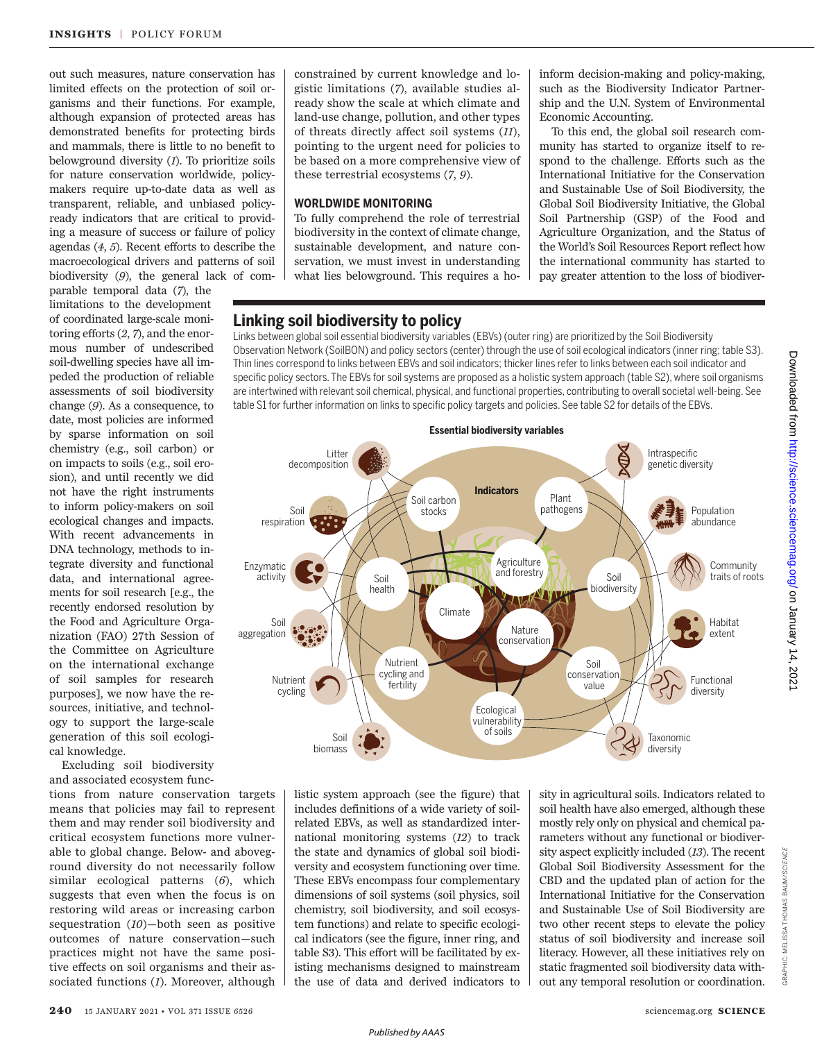out such measures, nature conservation has limited effects on the protection of soil organisms and their functions. For example, although expansion of protected areas has demonstrated benefits for protecting birds and mammals, there is little to no benefit to belowground diversity (*1*). To prioritize soils for nature conservation worldwide, policymakers require up-to-date data as well as transparent, reliable, and unbiased policyready indicators that are critical to providing a measure of success or failure of policy agendas (*4*, *5*). Recent efforts to describe the macroecological drivers and patterns of soil biodiversity (*9*), the general lack of com-

parable temporal data (*7*), the limitations to the development of coordinated large-scale monitoring efforts (*2*, *7*), and the enormous number of undescribed soil-dwelling species have all impeded the production of reliable assessments of soil biodiversity change (*9*). As a consequence, to date, most policies are informed by sparse information on soil chemistry (e.g., soil carbon) or on impacts to soils (e.g., soil erosion), and until recently we did not have the right instruments to inform policy-makers on soil ecological changes and impacts. With recent advancements in DNA technology, methods to integrate diversity and functional data, and international agreements for soil research [e.g., the recently endorsed resolution by the Food and Agriculture Organization (FAO) 27th Session of the Committee on Agriculture on the international exchange of soil samples for research purposes], we now have the resources, initiative, and technology to support the large-scale generation of this soil ecological knowledge.

Excluding soil biodiversity and associated ecosystem func-

tions from nature conservation targets means that policies may fail to represent them and may render soil biodiversity and critical ecosystem functions more vulnerable to global change. Below- and aboveground diversity do not necessarily follow similar ecological patterns (*6*), which suggests that even when the focus is on restoring wild areas or increasing carbon sequestration (*10*)—both seen as positive outcomes of nature conservation—such practices might not have the same positive effects on soil organisms and their associated functions (*1*). Moreover, although constrained by current knowledge and logistic limitations (*7*), available studies already show the scale at which climate and land-use change, pollution, and other types of threats directly affect soil systems (*11*), pointing to the urgent need for policies to be based on a more comprehensive view of these terrestrial ecosystems (*7*, *9*).

#### **WORLDWIDE MONITORING**

To fully comprehend the role of terrestrial biodiversity in the context of climate change, sustainable development, and nature conservation, we must invest in understanding what lies belowground. This requires a hoinform decision-making and policy-making, such as the Biodiversity Indicator Partnership and the U.N. System of Environmental Economic Accounting.

To this end, the global soil research community has started to organize itself to respond to the challenge. Efforts such as the International Initiative for the Conservation and Sustainable Use of Soil Biodiversity, the Global Soil Biodiversity Initiative, the Global Soil Partnership (GSP) of the Food and Agriculture Organization, and the Status of the World's Soil Resources Report reflect how the international community has started to pay greater attention to the loss of biodiver-

# **Linking soil biodiversity to policy**

Links between global soil essential biodiversity variables (EBVs) (outer ring) are prioritized by the Soil Biodiversity Observation Network (SoilBON) and policy sectors (center) through the use of soil ecological indicators (inner ring; table S3). Thin lines correspond to links between EBVs and soil indicators; thicker lines refer to links between each soil indicator and specific policy sectors. The EBVs for soil systems are proposed as a holistic system approach (table S2), where soil organisms are intertwined with relevant soil chemical, physical, and functional properties, contributing to overall societal well-being. See table S1 for further information on links to specific policy targets and policies. See table S2 for details of the EBVs.



listic system approach (see the figure) that includes definitions of a wide variety of soilrelated EBVs, as well as standardized international monitoring systems (*12*) to track the state and dynamics of global soil biodiversity and ecosystem functioning over time. These EBVs encompass four complementary dimensions of soil systems (soil physics, soil chemistry, soil biodiversity, and soil ecosystem functions) and relate to specific ecological indicators (see the figure, inner ring, and table S3). This effort will be facilitated by existing mechanisms designed to mainstream the use of data and derived indicators to

sity in agricultural soils. Indicators related to soil health have also emerged, although these mostly rely only on physical and chemical parameters without any functional or biodiversity aspect explicitly included (*13*). The recent Global Soil Biodiversity Assessment for the CBD and the updated plan of action for the International Initiative for the Conservation and Sustainable Use of Soil Biodiversity are two other recent steps to elevate the policy status of soil biodiversity and increase soil literacy. However, all these initiatives rely on static fragmented soil biodiversity data without any temporal resolution or coordination.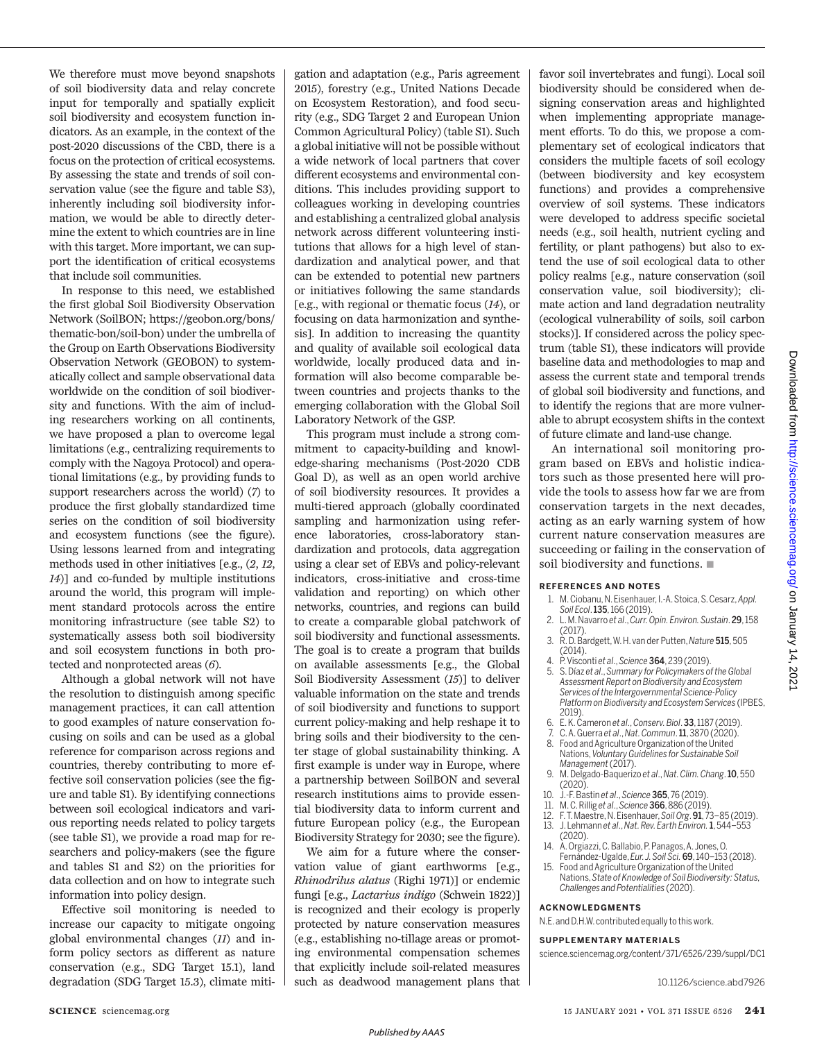We therefore must move beyond snapshots of soil biodiversity data and relay concrete input for temporally and spatially explicit soil biodiversity and ecosystem function indicators. As an example, in the context of the post-2020 discussions of the CBD, there is a focus on the protection of critical ecosystems. By assessing the state and trends of soil conservation value (see the figure and table S3), inherently including soil biodiversity information, we would be able to directly determine the extent to which countries are in line with this target. More important, we can support the identification of critical ecosystems that include soil communities.

In response to this need, we established the first global Soil Biodiversity Observation Network (SoilBON; https://geobon.org/bons/ thematic-bon/soil-bon) under the umbrella of the Group on Earth Observations Biodiversity Observation Network (GEOBON) to systematically collect and sample observational data worldwide on the condition of soil biodiversity and functions. With the aim of including researchers working on all continents, we have proposed a plan to overcome legal limitations (e.g., centralizing requirements to comply with the Nagoya Protocol) and operational limitations (e.g., by providing funds to support researchers across the world) (*7*) to produce the first globally standardized time series on the condition of soil biodiversity and ecosystem functions (see the figure). Using lessons learned from and integrating methods used in other initiatives [e.g., (*2*, *12*, *14*)] and co-funded by multiple institutions around the world, this program will implement standard protocols across the entire monitoring infrastructure (see table S2) to systematically assess both soil biodiversity and soil ecosystem functions in both protected and nonprotected areas (*6*).

Although a global network will not have the resolution to distinguish among specific management practices, it can call attention to good examples of nature conservation focusing on soils and can be used as a global reference for comparison across regions and countries, thereby contributing to more effective soil conservation policies (see the figure and table S1). By identifying connections between soil ecological indicators and various reporting needs related to policy targets (see table S1), we provide a road map for researchers and policy-makers (see the figure and tables S1 and S2) on the priorities for data collection and on how to integrate such information into policy design.

Effective soil monitoring is needed to increase our capacity to mitigate ongoing global environmental changes (*11*) and inform policy sectors as different as nature conservation (e.g., SDG Target 15.1), land degradation (SDG Target 15.3), climate mitigation and adaptation (e.g., Paris agreement 2015), forestry (e.g., United Nations Decade on Ecosystem Restoration), and food security (e.g., SDG Target 2 and European Union Common Agricultural Policy) (table S1). Such a global initiative will not be possible without a wide network of local partners that cover different ecosystems and environmental conditions. This includes providing support to colleagues working in developing countries and establishing a centralized global analysis network across different volunteering institutions that allows for a high level of standardization and analytical power, and that can be extended to potential new partners or initiatives following the same standards [e.g., with regional or thematic focus (*14*), or focusing on data harmonization and synthesis]. In addition to increasing the quantity and quality of available soil ecological data worldwide, locally produced data and information will also become comparable between countries and projects thanks to the emerging collaboration with the Global Soil Laboratory Network of the GSP.

This program must include a strong commitment to capacity-building and knowledge-sharing mechanisms (Post-2020 CDB Goal D), as well as an open world archive of soil biodiversity resources. It provides a multi-tiered approach (globally coordinated sampling and harmonization using reference laboratories, cross-laboratory standardization and protocols, data aggregation using a clear set of EBVs and policy-relevant indicators, cross-initiative and cross-time validation and reporting) on which other networks, countries, and regions can build to create a comparable global patchwork of soil biodiversity and functional assessments. The goal is to create a program that builds on available assessments [e.g., the Global Soil Biodiversity Assessment (*15*)] to deliver valuable information on the state and trends of soil biodiversity and functions to support current policy-making and help reshape it to bring soils and their biodiversity to the center stage of global sustainability thinking. A first example is under way in Europe, where a partnership between SoilBON and several research institutions aims to provide essential biodiversity data to inform current and future European policy (e.g., the European Biodiversity Strategy for 2030; see the figure).

We aim for a future where the conservation value of giant earthworms [e.g., *Rhinodrilus alatus* (Righi 1971)] or endemic fungi [e.g., *Lactarius indigo* (Schwein 1822)] is recognized and their ecology is properly protected by nature conservation measures (e.g., establishing no-tillage areas or promoting environmental compensation schemes that explicitly include soil-related measures such as deadwood management plans that favor soil invertebrates and fungi). Local soil biodiversity should be considered when designing conservation areas and highlighted when implementing appropriate management efforts. To do this, we propose a complementary set of ecological indicators that considers the multiple facets of soil ecology (between biodiversity and key ecosystem functions) and provides a comprehensive overview of soil systems. These indicators were developed to address specific societal needs (e.g., soil health, nutrient cycling and fertility, or plant pathogens) but also to extend the use of soil ecological data to other policy realms [e.g., nature conservation (soil conservation value, soil biodiversity); climate action and land degradation neutrality (ecological vulnerability of soils, soil carbon stocks)]. If considered across the policy spectrum (table S1), these indicators will provide baseline data and methodologies to map and assess the current state and temporal trends of global soil biodiversity and functions, and to identify the regions that are more vulnerable to abrupt ecosystem shifts in the context of future climate and land-use change.

An international soil monitoring program based on EBVs and holistic indicators such as those presented here will provide the tools to assess how far we are from conservation targets in the next decades, acting as an early warning system of how current nature conservation measures are succeeding or failing in the conservation of soil biodiversity and functions.  $\blacksquare$ 

#### **REFERENCES AND NOTES**

- 1. M. Ciobanu, N. Eisenhauer, I.-A. Stoica, S. Cesarz, *Appl. Soil Ecol*. 135, 166 (2019).
- 2. L. M. Navarro *et al*., *Curr. Opin. Environ. Sustain*. 29, 158 (2017).
- 3. R. D. Bardgett, W. H. van der Putten, *Nature* 515, 505 (2014).
- 4. P. Visconti *et al*., *Science* 364, 239 (2019).
- 5. S. Díaz *et al*., *Summary for Policymakers of the Global Assessment Report on Biodiversity and Ecosystem Services of the Intergovernmental Science-Policy Platform on Biodiversity and Ecosystem Services* (IPBES, 2019).
- 6. E. K. Cameron *et al*., *Conserv. Biol*. 33, 1187 (2019).
- 7. C. A. Guerra *et al*., *Nat. Commun*. 11, 3870 (2020). 8. Food and Agriculture Organization of the United
- Nations, *Voluntary Guidelines for Sustainable Soil Management* (2017).
- 9. M. Delgado-Baquerizo *et al*., *Nat. Clim. Chang*. 10, 550  $(2020)$
- 10. J.-F. Bastin *et al*., *Science* 365, 76 (2019).
- 11. M. C. Rillig *et al*., *Science* 366, 886 (2019).
- 12. F. T. Maestre, N. Eisenhauer, *Soil Org*. 91, 73–85 (2019).
- 13. J. Lehmann *et al*., *Nat. Rev. Earth Environ.*1, 544–553 (2020).
- 14. A. Orgiazzi, C. Ballabio, P. Panagos, A. Jones, O. Fernández-Ugalde, *Eur. J. Soil Sci.* 69, 140–153 (2018).
- 15. Food and Agriculture Organization of the United Nations, *State of Knowledge of Soil Biodiversity: Status, Challenges and Potentialities* (2020).

#### **ACKNOWLEDGMENTS**

N.E. and D.H.W. contributed equally to this work.

#### **SUPPLEMENTARY MATERIALS**

science.sciencemag.org/content/371/6526/239/suppl/DC1